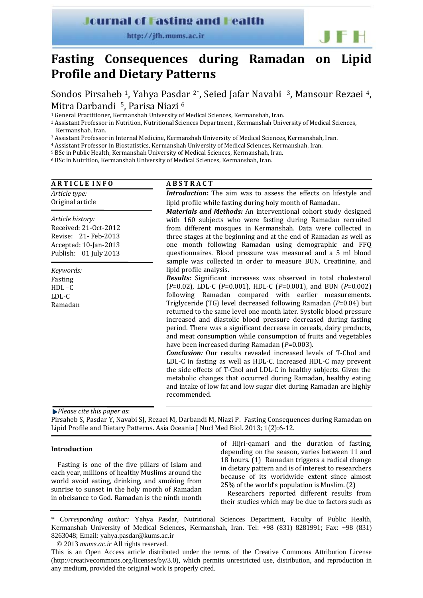**Journal of Fasting and Health** 

http://jfh.mums.ac.ir

# **Fasting Consequences during Ramadan on Lipid Profile and Dietary Patterns**

Sondos Pirsaheb 1, Yahya Pasdar 2\*, Seied Jafar Navabi 3, Mansour Rezaei 4, Mitra Darbandi 5, Parisa Niazi 6

1 General Practitioner, Kermanshah University of Medical Sciences, Kermanshah, Iran.

2 Assistant Professor in Nutrition, Nutritional Sciences Department , Kermanshah University of Medical Sciences, Kermanshah, Iran.

3 Assistant Professor in Internal Medicine, Kermanshah University of Medical Sciences, Kermanshah, Iran.

4 Assistant Professor in Biostatistics, Kermanshah University of Medical Sciences, Kermanshah, Iran.

5 BSc in Public Health, Kermanshah University of Medical Sciences, Kermanshah, Iran.

6 BSc in Nutrition, Kermanshah University of Medical Sciences, Kermanshah, Iran.

# **A R T I C L E I N F O**

## **A B S T R A C T**

*Article type:* Original article *Article history:* Received: 21‐Oct‐2012 Revise: 21‐ Feb‐2013 Accepted: 10‐Jan‐2013 Publish: 01 July 2013 *Keywords:* Fasting HDL –C LDL‐C Ramadan *Introduction*: The aim was to assess the effects on lifestyle and lipid profile while fasting during holy month of Ramadan. *Materials and Methods:* An interventional cohort study designed with 160 subjects who were fasting during Ramadan recruited from different mosques in Kermanshah. Data were collected in three stages at the beginning and at the end of Ramadan as well as one month following Ramadan using demographic and FFQ questionnaires. Blood pressure was measured and a 5 ml blood sample was collected in order to measure BUN, Creatinine, and lipid profile analysis. *Results:* Significant increases was observed in total cholesterol (*P*=0.02), LDL‐C (*P*=0.001), HDL‐C (*P*=0.001), and BUN (*P*=0.002) following Ramadan compared with earlier measurements. Triglyceride (TG) level decreased following Ramadan (*P*=0.04) but returned to the same level one month later. Systolic blood pressure increased and diastolic blood pressure decreased during fasting period. There was a significant decrease in cereals, dairy products, and meat consumption while consumption of fruits and vegetables have been increased during Ramadan (*P*=0.003). *Conclusion:* Our results revealed increased levels of T-Chol and LDL-C in fasting as well as HDL-C. Increased HDL-C may prevent the side effects of T‐Chol and LDL‐C in healthy subjects. Given the metabolic changes that occurred during Ramadan, healthy eating and intake of low fat and low sugar diet during Ramadan are highly recommended.

*Please cite this paper as*:

Pirsaheb S, Pasdar Y, Navabi SJ, Rezaei M, Darbandi M, Niazi P. Fasting Consequences during Ramadan on Lipid Profile and Dietary Patterns. Asia Oceania J Nucl Med Biol. 2013; 1(2):6‐12.

#### **Introduction**

Fasting is one of the five pillars of Islam and each year, millions of healthy Muslims around the world avoid eating, drinking, and smoking from sunrise to sunset in the holy month of Ramadan in obeisance to God. Ramadan is the ninth month of Hijri‐qamari and the duration of fasting, depending on the season, varies between 11 and 18 hours. (1) Ramadan triggers a radical change in dietary pattern and is of interest to researchers because of its worldwide extent since almost 25% of the world's population is Muslim. (2)

Researchers reported different results from their studies which may be due to factors such as

\* *Corresponding author:* Yahya Pasdar, Nutritional Sciences Department, Faculty of Public Health, Kermanshah University of Medical Sciences, Kermanshah, Iran. Tel: +98 (831) 8281991; Fax: +98 (831) 8263048; Email: yahya.pasdar@kums.ac.ir

© 2013 *mums.ac.ir* All rights reserved.

This is an Open Access article distributed under the terms of the Creative Commons Attribution License (http://creativecommons.org/licenses/by/3.0), which permits unrestricted use, distribution, and reproduction in any medium, provided the original work is properly cited.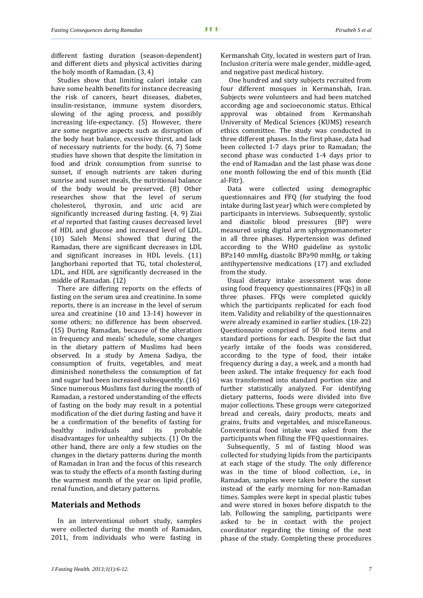j

different fasting duration (season‐dependent) and different diets and physical activities during the holy month of Ramadan. (3, 4)

Studies show that limiting calori intake can have some health benefits for instance decreasing the risk of cancers, heart diseases, diabetes, insulin‐resistance, immune system disorders, slowing of the aging process, and possibly increasing life-expectancy. (5) However, there are some negative aspects such as disruption of the body heat balance, excessive thirst, and lack of necessary nutrients for the body. (6, 7) Some studies have shown that despite the limitation in food and drink consumption from sunrise to sunset, if enough nutrients are taken during sunrise and sunset meals, the nutritional balance of the body would be preserved. (8) Other researches show that the level of serum cholesterol, thyroxin, and uric acid are significantly increased during fasting. (4, 9) Ziai *et al* reported that fasting causes decreased level of HDL and glucose and increased level of LDL. (10) Saleh Mensi showed that during the Ramadan, there are significant decreases in LDL and significant increases in HDL levels. (11) Janghorbani reported that TG, total cholesterol, LDL, and HDL are significantly decreased in the middle of Ramadan. (12)

There are differing reports on the effects of fasting on the serum urea and creatinine. In some reports, there is an increase in the level of serum urea and creatinine (10 and 13‐14) however in some others; no difference has been observed. (15) During Ramadan, because of the alteration in frequency and meals' schedule, some changes in the dietary pattern of Muslims had been observed. In a study by Amena Sadiya, the consumption of fruits, vegetables, and meat diminished nonetheless the consumption of fat and sugar had been increased subsequently. (16) Since numerous Muslims fast during the month of Ramadan, a restored understanding of the effects of fasting on the body may result in a potential modification of the diet during fasting and have it be a confirmation of the benefits of fasting for healthy individuals and its probable disadvantages for unhealthy subjects. (1) On the other hand, there are only a few studies on the changes in the dietary patterns during the month of Ramadan in Iran and the focus of this research was to study the effects of a month fasting during the warmest month of the year on lipid profile, renal function, and dietary patterns.

## **Materials and Methods**

In an interventional cohort study, samples were collected during the month of Ramadan, 2011, from individuals who were fasting in Kermanshah City, located in western part of Iran. Inclusion criteria were male gender, middle‐aged, and negative past medical history.

 One hundred and sixty subjects recruited from four different mosques in Kermanshah, Iran. Subjects were volunteers and had been matched according age and socioeconomic status. Ethical approval was obtained from Kermanshah University of Medical Sciences (KUMS) research ethics committee. The study was conducted in three different phases. In the first phase, data had been collected 1‐7 days prior to Ramadan; the second phase was conducted 1-4 days prior to the end of Ramadan and the last phase was done one month following the end of this month (Eid al‐Fitr).

Data were collected using demographic questionnaires and FFQ (for studying the food intake during last year) which were completed by participants in interviews. Subsequently, systolic and diastolic blood pressures (BP) were measured using digital arm sphygmomanometer in all three phases. Hypertension was defined according to the WHO guideline as systolic BP≥140 mmHg, diastolic BP≥90 mmHg, or taking antihypertensive medications (17) and excluded from the study.

Usual dietary intake assessment was done using food frequency questionnaires (FFQs) in all three phases. FFQs were completed quickly which the participants replicated for each food item. Validity and reliability of the questionnaires were already examined in earlier studies. (18‐22) Questionnaire comprised of 50 food items and standard portions for each. Despite the fact that yearly intake of the foods was considered, according to the type of food, their intake frequency during a day, a week, and a month had been asked. The intake frequency for each food was transformed into standard portion size and further statistically analyzed. For identifying dietary patterns, foods were divided into five major collections. These groups were categorized bread and cereals, dairy products, meats and grains, fruits and vegetables, and miscellaneous. Conventional food intake was asked from the participants when filling the FFQ questionnaires.

Subsequently, 5 ml of fasting blood was collected for studying lipids from the participants at each stage of the study. The only difference was in the time of blood collection, i.e., in Ramadan, samples were taken before the sunset instead of the early morning for non‐Ramadan times. Samples were kept in special plastic tubes and were stored in boxes before dispatch to the lab. Following the sampling, participants were asked to be in contact with the project coordinator regarding the timing of the next phase of the study. Completing these procedures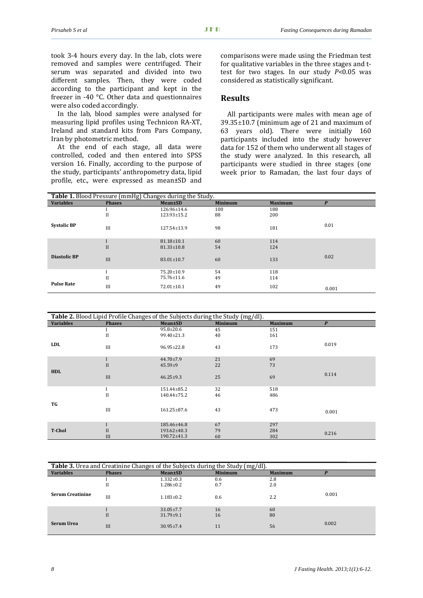took 3-4 hours every day. In the lab, clots were removed and samples were centrifuged. Their serum was separated and divided into two different samples. Then, they were coded according to the participant and kept in the freezer in -40 °C. Other data and questionnaires were also coded accordingly.

In the lab, blood samples were analysed for measuring lipid profiles using Technicon RA‐XT, Ireland and standard kits from Pars Company, Iran by photometric method.

At the end of each stage, all data were controlled, coded and then entered into SPSS version 16. Finally, according to the purpose of the study, participants' anthropometry data, lipid profile, etc., were expressed as mean±SD and comparisons were made using the Friedman test for qualitative variables in the three stages and t‐ test for two stages. In our study *P*<0.05 was considered as statistically significant.

## **Results**

All participants were males with mean age of 39.35±10.7 (minimum age of 21 and maximum of 63 years old). There were initially 160 participants included into the study however data for 152 of them who underwent all stages of the study were analyzed. In this research, all participants were studied in three stages (one week prior to Ramadan, the last four days of

| Table 1. Blood Pressure (mmHg) Changes during the Study. |               |                   |                |                |       |  |
|----------------------------------------------------------|---------------|-------------------|----------------|----------------|-------|--|
| <b>Variables</b>                                         | <b>Phases</b> | <b>Mean</b> ±SD   | <b>Minimum</b> | <b>Maximum</b> | P     |  |
|                                                          |               | $126.96 \pm 14.6$ | 100            | 188            |       |  |
|                                                          | $_{\rm II}$   | $123.93 \pm 15.2$ | 88             | 200            |       |  |
| <b>Systolic BP</b>                                       | III           | $127.54 \pm 13.9$ | 98             | 181            | 0.01  |  |
|                                                          |               | $81.18 \pm 10.1$  | 60             | 114            |       |  |
|                                                          | II            | $81.33 \pm 10.8$  | 54             | 124            |       |  |
| <b>Diastolic BP</b>                                      | III           | $83.01 \pm 10.7$  | 60             | 133            | 0.02  |  |
|                                                          |               | $75.20 \pm 10.9$  | 54             | 118            |       |  |
|                                                          | $_{\rm II}$   | 75.76±11.6        | 49             | 114            |       |  |
| <b>Pulse Rate</b>                                        | III           | $72.01 \pm 10.1$  | 49             | 102            | 0.001 |  |

| Table 2. Blood Lipid Profile Changes of the Subjects during the Study (mg/dl). |               |                   |                |                |                  |  |
|--------------------------------------------------------------------------------|---------------|-------------------|----------------|----------------|------------------|--|
| <b>Variables</b>                                                               | <b>Phases</b> | <b>Mean±SD</b>    | <b>Minimum</b> | <b>Maximum</b> | $\boldsymbol{P}$ |  |
|                                                                                |               | $95.8 \pm 20.6$   | 45             | 151            |                  |  |
|                                                                                | $_{\rm II}$   | $99.40 \pm 21.3$  | 40             | 161            |                  |  |
| <b>LDL</b>                                                                     | III           | $96.95 \pm 22.8$  | 43             | 173            | 0.019            |  |
|                                                                                |               | $44.70 \pm 7.9$   | 21             | 69             |                  |  |
|                                                                                | $\mathbf{I}$  | $45.59 + 9$       | 22             | 73             |                  |  |
| <b>HDL</b>                                                                     | III           | $46.25 \pm 9.3$   | 25             | 69             | 0.114            |  |
|                                                                                |               | 151.44±85.2       | 32             | 518            |                  |  |
|                                                                                | $_{\rm II}$   | $140.44 \pm 75.2$ | 46             | 486            |                  |  |
| TG                                                                             | III           | $161.25 \pm 87.6$ | 43             | 473            | 0.001            |  |
|                                                                                |               | 185.46±46.8       | 67             | 297            |                  |  |
| <b>T-Chol</b>                                                                  | II            | 193.62±40.3       | 79             | 284            | 0.216            |  |
|                                                                                | III           | $190.72 \pm 41.3$ | 60             | 302            |                  |  |

| <b>Table 3.</b> Urea and Creatinine Changes of the Subjects during the Study (mg/dl). |               |                 |                |                |       |  |
|---------------------------------------------------------------------------------------|---------------|-----------------|----------------|----------------|-------|--|
| <b>Variables</b>                                                                      | <b>Phases</b> | <b>Mean</b> ±SD | <b>Minimum</b> | <b>Maximum</b> |       |  |
|                                                                                       |               | $1.332 \pm 0.3$ | 0.6            | 2.8            |       |  |
|                                                                                       | п             | $1.286 \pm 0.2$ | 0.7            | 2.0            |       |  |
| <b>Serum Creatinine</b>                                                               | III           | $1.183 \pm 0.2$ | 0.6            | 2.2            | 0.001 |  |
|                                                                                       |               | $33.05 \pm 7.7$ | 16             | 60             |       |  |
|                                                                                       | $_{II}$       | $31.79 \pm 9.1$ | 16             | 80             |       |  |
| Serum Urea                                                                            | III           | $30.95 + 7.4$   | 11             | 56             | 0.002 |  |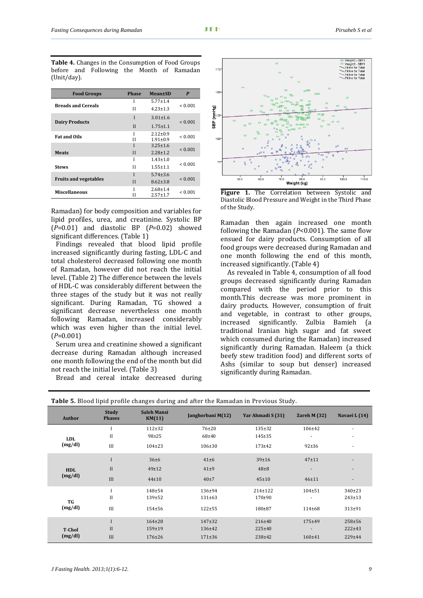j

| <b>Food Groups</b>           | <b>Phase</b> | <b>Mean</b> ±SD | P            |  |
|------------------------------|--------------|-----------------|--------------|--|
|                              | I            | $5.77 \pm 1.4$  |              |  |
| <b>Breads and Cereals</b>    | Н            | $4.23 \pm 1.3$  | ${}_{0.001}$ |  |
| <b>Dairy Products</b>        | I            | $3.01 \pm 1.6$  | < 0.001      |  |
|                              | $\mathbf{I}$ | $1.75 \pm 1.1$  |              |  |
| <b>Fat and Oils</b>          | I            | $2.12 \pm 0.9$  | ${}_{0.001}$ |  |
|                              | Н            | $1.91 \pm 0.9$  |              |  |
|                              | I            | $3.25 \pm 1.6$  |              |  |
| <b>Meats</b>                 | $\mathbf{H}$ | $2.28 \pm 1.2$  | ${}_{0.001}$ |  |
|                              | I            | $1.43 \pm 1.0$  |              |  |
| <b>Stews</b>                 | Н            | $1.55 \pm 1.1$  | ${}_{0.001}$ |  |
|                              | Ī            | $5.74 \pm 3.6$  |              |  |
| <b>Fruits and vegetables</b> | $\mathbf{H}$ | $8.62 \pm 3.8$  | ${}_{0.001}$ |  |
| Miscellaneous                |              | $2.68 \pm 1.4$  |              |  |
|                              | Н            | $2.57 + 1.7$    | ${}_{0.001}$ |  |

**Table 4.** Changes in the Consumption of Food Groups before and Following the Month of Ramadan (Unit/day).

Ramadan) for body composition and variables for lipid profiles, urea, and creatinine. Systolic BP (*P*=0.01) and diastolic BP (*P*=0.02) showed significant differences. (Table 1)

Findings revealed that blood lipid profile increased significantly during fasting, LDL‐C and total cholesterol decreased following one month of Ramadan, however did not reach the initial level. (Table 2) The difference between the levels of HDL‐C was considerably different between the three stages of the study but it was not really significant. During Ramadan, TG showed a significant decrease nevertheless one month following Ramadan, increased considerably which was even higher than the initial level. (*P*=0.001)

Serum urea and creatinine showed a significant decrease during Ramadan although increased one month following the end of the month but did not reach the initial level. (Table 3)

Bread and cereal intake decreased during



**Figure 1.** The Correlation between Systolic and Diastolic Blood Pressure and Weight in the Third Phase of the Study.

Ramadan then again increased one month following the Ramadan (*P*<0.001). The same flow ensued for dairy products. Consumption of all food groups were decreased during Ramadan and one month following the end of this month, increased significantly. (Table 4)

As revealed in Table 4, consumption of all food groups decreased significantly during Ramadan compared with the period prior to this month.This decrease was more prominent in dairy products. However, consumption of fruit and vegetable, in contrast to other groups, increased significantly. Zulbia Bamieh (a traditional Iranian high sugar and fat sweet which consumed during the Ramadan) increased significantly during Ramadan. Haleem (a thick beefy stew tradition food) and different sorts of Ashs (similar to soup but denser) increased significantly during Ramadan.

| Author        | <b>Study</b><br><b>Phases</b> | <b>Saleh Mansi</b><br>KM(11) | Janghorbani M(12) | Yar Ahmadi S (31) | Zareh M $(32)$ | Navaei L (14)            |
|---------------|-------------------------------|------------------------------|-------------------|-------------------|----------------|--------------------------|
|               |                               | $112+32$                     | 76±20             | $135 \pm 32$      | 106±42         | $\overline{\phantom{a}}$ |
| <b>LDL</b>    | H                             | $98 + 25$                    | $68 + 40$         | $145 \pm 35$      |                | $\overline{\phantom{a}}$ |
| (mg/dl)       | III                           | $104 \pm 23$                 | $106 \pm 30$      | $173 + 42$        | $92+36$        | $\overline{\phantom{a}}$ |
|               | I                             | 36±6                         | $41\pm 6$         | 39±16             | $47 + 11$      | ٠                        |
| <b>HDL</b>    | $_{II}$                       | $49 \pm 12$                  | $41\pm9$          | $48 + 8$          | ۰.             | $\overline{\phantom{a}}$ |
| (mg/dl)       | III                           | $44 + 10$                    | $40\pm7$          | $45\pm10$         | $46 + 11$      | ٠                        |
|               |                               | 148±54                       | 136±94            | 214±122           | $104 \pm 51$   | 340±23                   |
| TG            | $_{\rm II}$                   | 139±52                       | $131 \pm 63$      | $170+90$          |                | $243 \pm 13$             |
| (mg/dl)       | III                           | $154 + 56$                   | $122 + 55$        | $180 + 87$        | $114 \pm 68$   | $313+91$                 |
|               |                               | $164 \pm 28$                 | $147+32$          | 216±40            | $175 + 49$     | $258 + 56$               |
| <b>T-Chol</b> | $\mathbf{I}$                  | 159±19                       | $136 \pm 42$      | $225 \pm 40$      |                | $222 \pm 43$             |
| (mg/dl)       | III                           | $176 \pm 26$                 | $171 \pm 36$      | $238 + 42$        | $160 + 41$     | 229±44                   |

**Table 5.** Blood lipid profile changes during and after the Ramadan in Previous Study.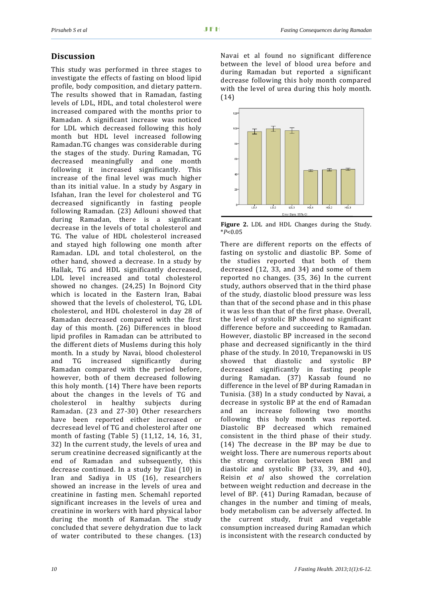# **Discussion**

This study was performed in three stages to investigate the effects of fasting on blood lipid profile, body composition, and dietary pattern. The results showed that in Ramadan, fasting levels of LDL, HDL, and total cholesterol were increased compared with the months prior to Ramadan. A significant increase was noticed for LDL which decreased following this holy month but HDL level increased following Ramadan.TG changes was considerable during the stages of the study. During Ramadan, TG decreased meaningfully and one month following it increased significantly. This increase of the final level was much higher than its initial value. In a study by Asgary in Isfahan, Iran the level for cholesterol and TG decreased significantly in fasting people following Ramadan. (23) Adlouni showed that during Ramadan, there is a significant decrease in the levels of total cholesterol and TG. The value of HDL cholesterol increased and stayed high following one month after Ramadan. LDL and total cholesterol, on the other hand, showed a decrease. In a study by Hallak, TG and HDL significantly decreased, LDL level increased and total cholesterol showed no changes. (24,25) In Bojnord City which is located in the Eastern Iran, Babai showed that the levels of cholesterol, TG, LDL cholesterol, and HDL cholesterol in day 28 of Ramadan decreased compared with the first day of this month. (26) Differences in blood lipid profiles in Ramadan can be attributed to the different diets of Muslems during this holy month. In a study by Navai, blood cholesterol and TG increased significantly during Ramadan compared with the period before, however, both of them decreased following this holy month. (14) There have been reports about the changes in the levels of TG and cholesterol in healthy subjects during Ramadan. (23 and 27‐30) Other researchers have been reported either increased or decresead level of TG and cholesterol after one month of fasting (Table 5) (11,12, 14, 16, 31, 32) In the current study, the levels of urea and serum creatinine decreased significantly at the end of Ramadan and subsequently, this decrease continued. In a study by Ziai (10) in Iran and Sadiya in US (16), researchers showed an increase in the levels of urea and creatinine in fasting men. Schemahl reported significant increases in the levels of urea and creatinine in workers with hard physical labor during the month of Ramadan. The study concluded that severe dehydration due to lack of water contributed to these changes. (13) Navai et al found no significant difference between the level of blood urea before and during Ramadan but reported a significant decrease following this holy month compared with the level of urea during this holy month. (14)



**Figure 2.** LDL and HDL Changes during the Study. \**P*<0.05

There are different reports on the effects of fasting on systolic and diastolic BP. Some of the studies reported that both of them decreased (12, 33, and 34) and some of them reported no changes. (35, 36) In the current study, authors observed that in the third phase of the study, diastolic blood pressure was less than that of the second phase and in this phase it was less than that of the first phase. Overall, the level of systolic BP showed no significant difference before and succeeding to Ramadan. However, diastolic BP increased in the second phase and decreased significantly in the third phase of the study. In 2010, Trepanowski in US showed that diastolic and systolic BP decreased significantly in fasting people during Ramadan. (37) Kassab found no difference in the level of BP during Ramadan in Tunisia. (38) In a study conducted by Navai, a decrease in systolic BP at the end of Ramadan and an increase following two months following this holy month was reported. Diastolic BP decreased which remained consistent in the third phase of their study. (14) The decrease in the BP may be due to weight loss. There are numerous reports about the strong correlation between BMI and diastolic and systolic BP (33, 39, and 40), Reisin *et al* also showed the correlation between weight reduction and decrease in the level of BP. (41) During Ramadan, because of changes in the number and timing of meals, body metabolism can be adversely affected. In the current study, fruit and vegetable consumption increased during Ramadan which is inconsistent with the research conducted by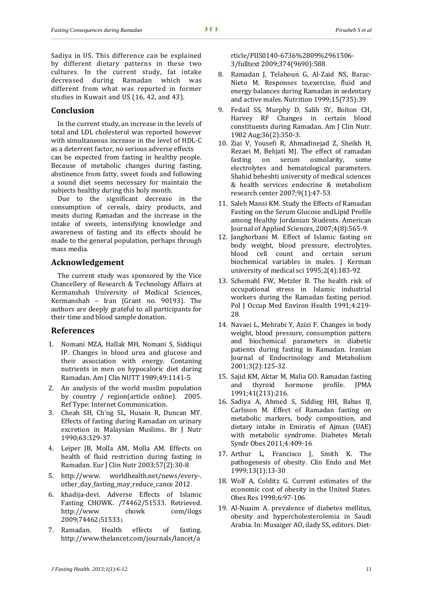j

Sadiya in US. This difference can be explained by different dietary patterns in these two cultures. In the current study, fat intake decreased during Ramadan which was different from what was reported in former studies in Kuwait and US (16, 42, and 43).

#### **Conclusion**

In the current study, an increase in the levels of total and LDL cholesterol was reported however with simultaneous increase in the level of HDL‐C as a deterrent factor, no serious adverse effects

can be expected from fasting in healthy people. Because of metabolic changes during fasting, abstinence from fatty, sweet foods and following a sound diet seems necessary for maintain the subjects healthy during this holy month.

Due to the significant decrease in the consumption of cereals, dairy products, and meats during Ramadan and the increase in the intake of sweets, intensifying knowledge and awareness of fasting and its effects should be made to the general population, perhaps through mass media.

#### **Acknowledgement**

The current study was sponsored by the Vice Chancellery of Research & Technology Affairs at Kermanshah University of Medical Sciences, Kermanshah – Iran (Grant no. 90193). The authors are deeply grateful to all participants for their time and blood sample donation.

#### **References**

- 1. Nomani MZA, Hallak MH, Nomani S, Siddiqui IP. Changes in blood urea and glucose and their association with energy. Contaning nutrients in men on hypocaloric diet during Ramadan. Am J Clin NUTT 1989;49:1141‐5.
- 2. An analysis of the world muslim population by country / region(article online). 2005. Ref Type: Internet Communication.
- 3. Cheah SH, Ch'ng SL, Husain R, Duncan MT. Effects of fasting during Ramadan on urinary excretion in Malaysian Muslims. Br J Nutr 1990;63:329‐37.
- 4. Leiper JB, Molla AM, Molla AM. Effects on health of fluid restriction during fasting in Ramadan. Eur J Clin Nutr 2003;57(2):30‐8.
- 5. http://www. worldhealth.net/news/every‐. other\_day\_fasting\_may\_reduce\_cance 2012.
- 6. khadija‐devi. Adverse Effects of Islamic Fasting CHOWK. /74462/51533. Retrieved. http://www chowk com/ilogs 2009;74462(51533).
- 7. Ramadan. Health effects of fasting. http://www.thelancet.com/journals/lancet/a

rticle/PIIS0140‐6736%2809%2961506‐ 3/fulltext 2009;374(9690):588.

- 8. Ramadan J, Telahoun G, Al‐Zaid NS, Barac‐ Nieto M. Responses to,exercise, fluid and energy balances during Ramadan in sedentary and active males. Nutrition 1999;15(735):39.
- 9. Fedail SS, Murphy D, Salih SY, Bolton CH, Harvey RF Changes in certain blood constituents during Ramadan. Am J Clin Nutr. 1982 Aug;36(2):350‐3.
- 10. Ziai V, Yousefi R, Ahmadinejad Z, Sheikh H, Rezaei M, Behjati MJ. The effect of ramadan fasting on serum osmolarity, some electrolytes and hematological parameters. Shahid beheshti university of medical sciences & health services endocrine & metabolism research center 2007;9(1):47‐53.
- 11. Saleh Mansi KM. Study the Effects of Ramadan Fasting on the Serum Glucose andLipid Profile among Healthy Jordanian Students. American Journal of Applied Sciences, 2007;4(8):565‐9.
- 12. Janghorbani M. Effect of Islamic fasting on body weight, blood pressure, electrolytes, blood cell count and certain serum biochemical variables in males. J Kerman university of medical sci 1995;2(4):183‐92.
- 13. Schemahl FW, Metzler B. The health risk of occupational stress in Islamic industrial workers during the Ramadan fasting period. Pol J Occup Med Environ Health 1991;4:219-28.
- 14. Navaei L, Mehrabi Y, Azizi F. Changes in body weight, blood pressure, consumption pattern and biochemical parameters in diabetic patients during fasting in Ramadan. Iranian Journal of Endocrinology and Metabolism 2001;3(2):125‐32.
- 15. Sajid KM, Aktar M, Malia GO. Ramadan fasting and thyroid hormone profile. JPMA 1991;41(213):216.
- 16. Sadiya A, Ahmed S, Siddieg HH, Babas IJ, Carlsson M. Effect of Ramadan fasting on metabolic markers, body composition, and dietary intake in Emiratis of Ajman (UAE) with metabolic syndrome. Diabetes Metab Syndr Obes 2011;4:409‐16.
- 17. Arthur L, Francisco J, Smith K. The pathogenesis of obesity. Clin Endo and Met 1999;13(1):13‐30.
- 18. Wolf A, Colditz G. Current estimates of the economic cost of obesity in the United States. Obes Res 1998;6:97‐106.
- 19. Al‐Nuaim A. prevalence of diabetes mellitus, obesity and hypercholesterolemia in Saudi Arabia. In: Musaiger AO, ilady SS, editors. Diet‐